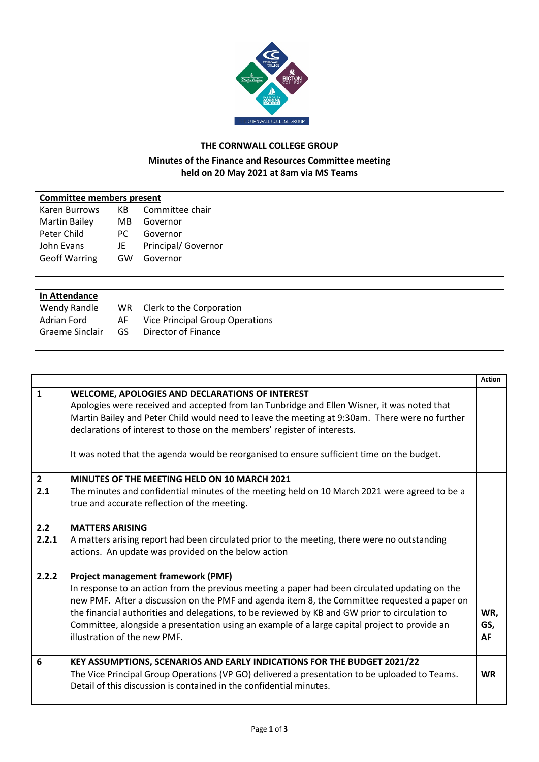

## **THE CORNWALL COLLEGE GROUP**

## **Minutes of the Finance and Resources Committee meeting held on 20 May 2021 at 8am via MS Teams**

| <b>Committee members present</b> |  |
|----------------------------------|--|
|                                  |  |

| КB  | Committee chair     |
|-----|---------------------|
| MВ  | Governor            |
| PC. | Governor            |
| JE  | Principal/ Governor |
| GW  | Governor            |
|     |                     |

## **In Attendance**

|    | WR Clerk to the Corporation            |
|----|----------------------------------------|
| AF | <b>Vice Principal Group Operations</b> |
| GS | Director of Finance                    |
|    |                                        |

|              |                                                                                                                                                                                                                                                                                                                                                                                                                                                                                | <b>Action</b>    |
|--------------|--------------------------------------------------------------------------------------------------------------------------------------------------------------------------------------------------------------------------------------------------------------------------------------------------------------------------------------------------------------------------------------------------------------------------------------------------------------------------------|------------------|
| $\mathbf{1}$ | <b>WELCOME, APOLOGIES AND DECLARATIONS OF INTEREST</b><br>Apologies were received and accepted from Ian Tunbridge and Ellen Wisner, it was noted that<br>Martin Bailey and Peter Child would need to leave the meeting at 9:30am. There were no further<br>declarations of interest to those on the members' register of interests.                                                                                                                                            |                  |
|              | It was noted that the agenda would be reorganised to ensure sufficient time on the budget.                                                                                                                                                                                                                                                                                                                                                                                     |                  |
| $\mathbf{2}$ | MINUTES OF THE MEETING HELD ON 10 MARCH 2021                                                                                                                                                                                                                                                                                                                                                                                                                                   |                  |
| 2.1          | The minutes and confidential minutes of the meeting held on 10 March 2021 were agreed to be a<br>true and accurate reflection of the meeting.                                                                                                                                                                                                                                                                                                                                  |                  |
| 2.2          | <b>MATTERS ARISING</b>                                                                                                                                                                                                                                                                                                                                                                                                                                                         |                  |
| 2.2.1        | A matters arising report had been circulated prior to the meeting, there were no outstanding<br>actions. An update was provided on the below action                                                                                                                                                                                                                                                                                                                            |                  |
| 2.2.2        | <b>Project management framework (PMF)</b><br>In response to an action from the previous meeting a paper had been circulated updating on the<br>new PMF. After a discussion on the PMF and agenda item 8, the Committee requested a paper on<br>the financial authorities and delegations, to be reviewed by KB and GW prior to circulation to<br>Committee, alongside a presentation using an example of a large capital project to provide an<br>illustration of the new PMF. | WR,<br>GS,<br>AF |
| 6            | KEY ASSUMPTIONS, SCENARIOS AND EARLY INDICATIONS FOR THE BUDGET 2021/22<br>The Vice Principal Group Operations (VP GO) delivered a presentation to be uploaded to Teams.<br>Detail of this discussion is contained in the confidential minutes.                                                                                                                                                                                                                                | <b>WR</b>        |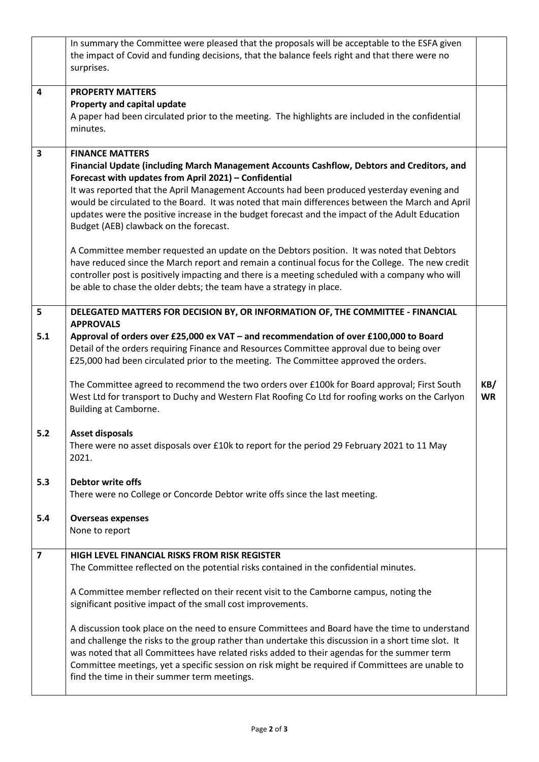|                         | In summary the Committee were pleased that the proposals will be acceptable to the ESFA given<br>the impact of Covid and funding decisions, that the balance feels right and that there were no<br>surprises.                                                                                                                                                                                                                                                                                                                                                                                                                                                                                                                                                                                                                     |                  |
|-------------------------|-----------------------------------------------------------------------------------------------------------------------------------------------------------------------------------------------------------------------------------------------------------------------------------------------------------------------------------------------------------------------------------------------------------------------------------------------------------------------------------------------------------------------------------------------------------------------------------------------------------------------------------------------------------------------------------------------------------------------------------------------------------------------------------------------------------------------------------|------------------|
| 4                       | <b>PROPERTY MATTERS</b>                                                                                                                                                                                                                                                                                                                                                                                                                                                                                                                                                                                                                                                                                                                                                                                                           |                  |
|                         | Property and capital update                                                                                                                                                                                                                                                                                                                                                                                                                                                                                                                                                                                                                                                                                                                                                                                                       |                  |
|                         | A paper had been circulated prior to the meeting. The highlights are included in the confidential                                                                                                                                                                                                                                                                                                                                                                                                                                                                                                                                                                                                                                                                                                                                 |                  |
|                         | minutes.                                                                                                                                                                                                                                                                                                                                                                                                                                                                                                                                                                                                                                                                                                                                                                                                                          |                  |
| 3                       | <b>FINANCE MATTERS</b><br>Financial Update (including March Management Accounts Cashflow, Debtors and Creditors, and<br>Forecast with updates from April 2021) - Confidential<br>It was reported that the April Management Accounts had been produced yesterday evening and<br>would be circulated to the Board. It was noted that main differences between the March and April<br>updates were the positive increase in the budget forecast and the impact of the Adult Education<br>Budget (AEB) clawback on the forecast.<br>A Committee member requested an update on the Debtors position. It was noted that Debtors<br>have reduced since the March report and remain a continual focus for the College. The new credit<br>controller post is positively impacting and there is a meeting scheduled with a company who will |                  |
|                         | be able to chase the older debts; the team have a strategy in place.                                                                                                                                                                                                                                                                                                                                                                                                                                                                                                                                                                                                                                                                                                                                                              |                  |
| 5                       | DELEGATED MATTERS FOR DECISION BY, OR INFORMATION OF, THE COMMITTEE - FINANCIAL<br><b>APPROVALS</b>                                                                                                                                                                                                                                                                                                                                                                                                                                                                                                                                                                                                                                                                                                                               |                  |
| 5.1                     | Approval of orders over £25,000 ex VAT - and recommendation of over £100,000 to Board<br>Detail of the orders requiring Finance and Resources Committee approval due to being over<br>£25,000 had been circulated prior to the meeting. The Committee approved the orders.                                                                                                                                                                                                                                                                                                                                                                                                                                                                                                                                                        |                  |
|                         | The Committee agreed to recommend the two orders over £100k for Board approval; First South<br>West Ltd for transport to Duchy and Western Flat Roofing Co Ltd for roofing works on the Carlyon<br>Building at Camborne.                                                                                                                                                                                                                                                                                                                                                                                                                                                                                                                                                                                                          | KB/<br><b>WR</b> |
| 5.2                     | <b>Asset disposals</b><br>There were no asset disposals over £10k to report for the period 29 February 2021 to 11 May<br>2021.                                                                                                                                                                                                                                                                                                                                                                                                                                                                                                                                                                                                                                                                                                    |                  |
| 5.3                     | Debtor write offs<br>There were no College or Concorde Debtor write offs since the last meeting.                                                                                                                                                                                                                                                                                                                                                                                                                                                                                                                                                                                                                                                                                                                                  |                  |
| 5.4                     | <b>Overseas expenses</b>                                                                                                                                                                                                                                                                                                                                                                                                                                                                                                                                                                                                                                                                                                                                                                                                          |                  |
|                         | None to report                                                                                                                                                                                                                                                                                                                                                                                                                                                                                                                                                                                                                                                                                                                                                                                                                    |                  |
| $\overline{\mathbf{z}}$ | <b>HIGH LEVEL FINANCIAL RISKS FROM RISK REGISTER</b>                                                                                                                                                                                                                                                                                                                                                                                                                                                                                                                                                                                                                                                                                                                                                                              |                  |
|                         | The Committee reflected on the potential risks contained in the confidential minutes.                                                                                                                                                                                                                                                                                                                                                                                                                                                                                                                                                                                                                                                                                                                                             |                  |
|                         | A Committee member reflected on their recent visit to the Camborne campus, noting the<br>significant positive impact of the small cost improvements.                                                                                                                                                                                                                                                                                                                                                                                                                                                                                                                                                                                                                                                                              |                  |
|                         | A discussion took place on the need to ensure Committees and Board have the time to understand<br>and challenge the risks to the group rather than undertake this discussion in a short time slot. It<br>was noted that all Committees have related risks added to their agendas for the summer term<br>Committee meetings, yet a specific session on risk might be required if Committees are unable to<br>find the time in their summer term meetings.                                                                                                                                                                                                                                                                                                                                                                          |                  |